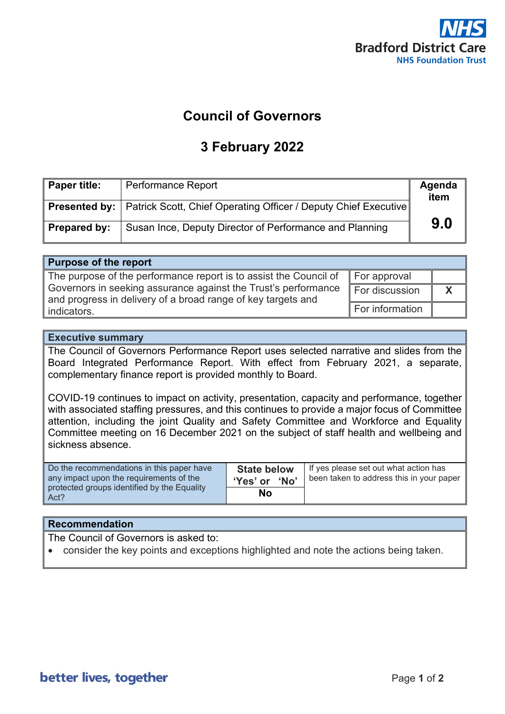

#### **Council of Governors**

#### **3 February 2022**

| ∥ Paper title: | <b>Performance Report</b>                                                              | Agenda<br>item |
|----------------|----------------------------------------------------------------------------------------|----------------|
|                | <b>Presented by:</b>   Patrick Scott, Chief Operating Officer / Deputy Chief Executive |                |
| Prepared by:   | Susan Ince, Deputy Director of Performance and Planning                                | 9.0            |

| <b>Purpose of the report</b>                                                                                                   |                 |  |
|--------------------------------------------------------------------------------------------------------------------------------|-----------------|--|
| The purpose of the performance report is to assist the Council of $\parallel$ For approval                                     |                 |  |
| Governors in seeking assurance against the Trust's performance<br>and progress in delivery of a broad range of key targets and | For discussion  |  |
| indicators.                                                                                                                    | For information |  |

#### **Executive summary**

The Council of Governors Performance Report uses selected narrative and slides from the Board Integrated Performance Report. With effect from February 2021, a separate, complementary finance report is provided monthly to Board.

COVID-19 continues to impact on activity, presentation, capacity and performance, together with associated staffing pressures, and this continues to provide a major focus of Committee attention, including the joint Quality and Safety Committee and Workforce and Equality Committee meeting on 16 December 2021 on the subject of staff health and wellbeing and sickness absence

| Do the recommendations in this paper have           | <b>State below</b> | If yes please set out what action has    |
|-----------------------------------------------------|--------------------|------------------------------------------|
| any impact upon the requirements of the             | 'Yes' or 'No'      | been taken to address this in your paper |
| protected groups identified by the Equality<br>Act? | No                 |                                          |

#### **Recommendation**

The Council of Governors is asked to:

• consider the key points and exceptions highlighted and note the actions being taken.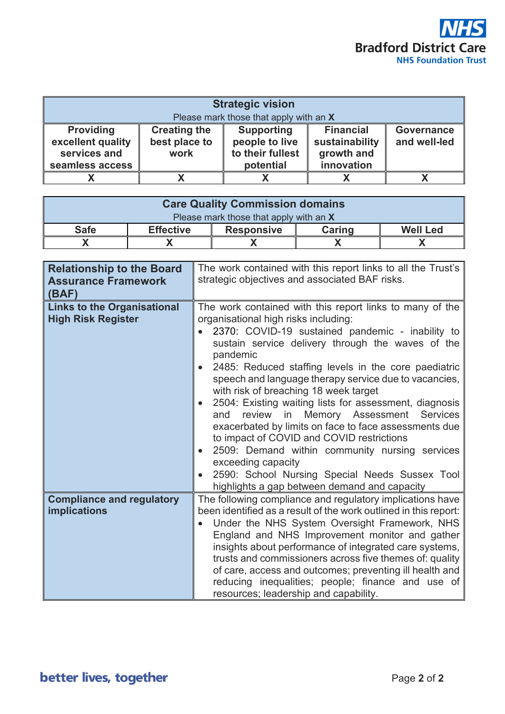

| <b>Strategic vision</b>                                                  |                                              |                                                                      |                                                                |                                   |
|--------------------------------------------------------------------------|----------------------------------------------|----------------------------------------------------------------------|----------------------------------------------------------------|-----------------------------------|
| Please mark those that apply with an X                                   |                                              |                                                                      |                                                                |                                   |
| <b>Providing</b><br>excellent quality<br>services and<br>seamless access | <b>Creating the</b><br>best place to<br>work | <b>Supporting</b><br>people to live<br>to their fullest<br>potential | <b>Financial</b><br>sustainability<br>growth and<br>innovation | <b>Governance</b><br>and well-led |
|                                                                          |                                              |                                                                      |                                                                |                                   |

| <b>Care Quality Commission domains</b> |                  |                   |        |                 |
|----------------------------------------|------------------|-------------------|--------|-----------------|
| Please mark those that apply with an X |                  |                   |        |                 |
| <b>Safe</b>                            | <b>Effective</b> | <b>Responsive</b> | Caring | <b>Well Led</b> |
|                                        |                  |                   |        |                 |

| <b>Relationship to the Board</b><br><b>Assurance Framework</b><br>(BAF) | The work contained with this report links to all the Trust's<br>strategic objectives and associated BAF risks.                                                                                                                                                                                                                                                                                                                                                                                                                                                                                                                                                                                                                                                                                        |
|-------------------------------------------------------------------------|-------------------------------------------------------------------------------------------------------------------------------------------------------------------------------------------------------------------------------------------------------------------------------------------------------------------------------------------------------------------------------------------------------------------------------------------------------------------------------------------------------------------------------------------------------------------------------------------------------------------------------------------------------------------------------------------------------------------------------------------------------------------------------------------------------|
| <b>Links to the Organisational</b><br><b>High Risk Register</b>         | The work contained with this report links to many of the<br>organisational high risks including:<br>2370: COVID-19 sustained pandemic - inability to<br>sustain service delivery through the waves of the<br>pandemic<br>2485: Reduced staffing levels in the core paediatric<br>speech and language therapy service due to vacancies,<br>with risk of breaching 18 week target<br>2504: Existing waiting lists for assessment, diagnosis<br>$\bullet$<br>Memory Assessment<br>review<br>in<br><b>Services</b><br>and<br>exacerbated by limits on face to face assessments due<br>to impact of COVID and COVID restrictions<br>2509: Demand within community nursing services<br>exceeding capacity<br>2590: School Nursing Special Needs Sussex Tool<br>highlights a gap between demand and capacity |
| <b>Compliance and regulatory</b><br><b>implications</b>                 | The following compliance and regulatory implications have<br>been identified as a result of the work outlined in this report:<br>Under the NHS System Oversight Framework, NHS<br>England and NHS Improvement monitor and gather<br>insights about performance of integrated care systems,<br>trusts and commissioners across five themes of: quality<br>of care, access and outcomes; preventing ill health and<br>reducing inequalities; people; finance and use of<br>resources; leadership and capability.                                                                                                                                                                                                                                                                                        |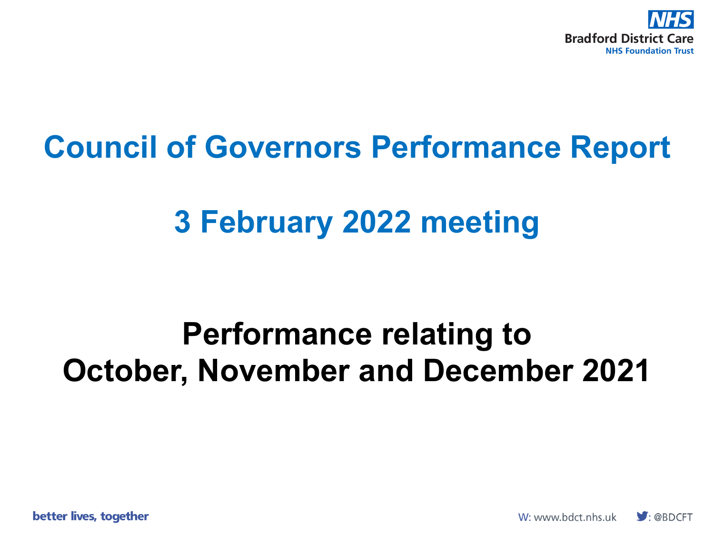

### **Council of Governors Performance Report**

## **3 February 2022 meeting**

### **Performance relating to October, November and December 2021**

better lives, together

W: www.bdct.nhs.uk  $\bigtriangledown$ : @BDCFT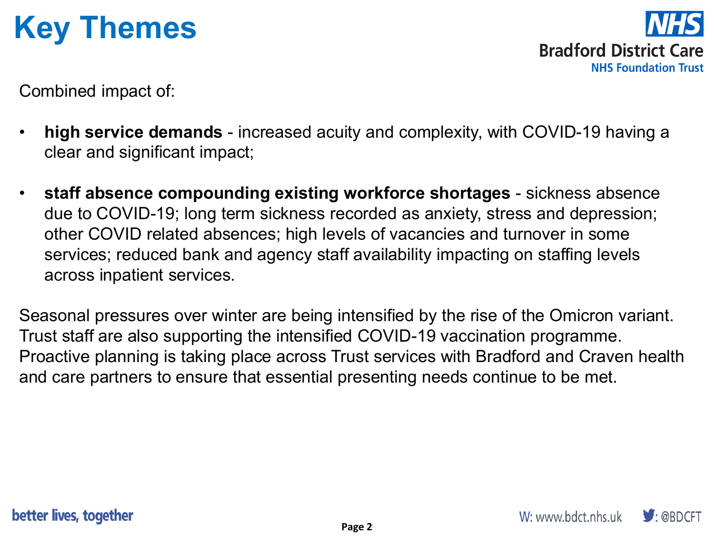# **Key Themes**

**Bradford District Care NHS Foundation Trust** 

Combined impact of:

- **high service demands**  increased acuity and complexity, with COVID-19 having a clear and significant impact;
- **staff absence compounding existing workforce shortages**  sickness absence due to COVID-19; long term sickness recorded as anxiety, stress and depression; other COVID related absences; high levels of vacancies and turnover in some services; reduced bank and agency staff availability impacting on staffing levels across inpatient services.

Seasonal pressures over winter are being intensified by the rise of the Omicron variant. Trust staff are also supporting the intensified COVID-19 vaccination programme. Proactive planning is taking place across Trust services with Bradford and Craven health and care partners to ensure that essential presenting needs continue to be met.

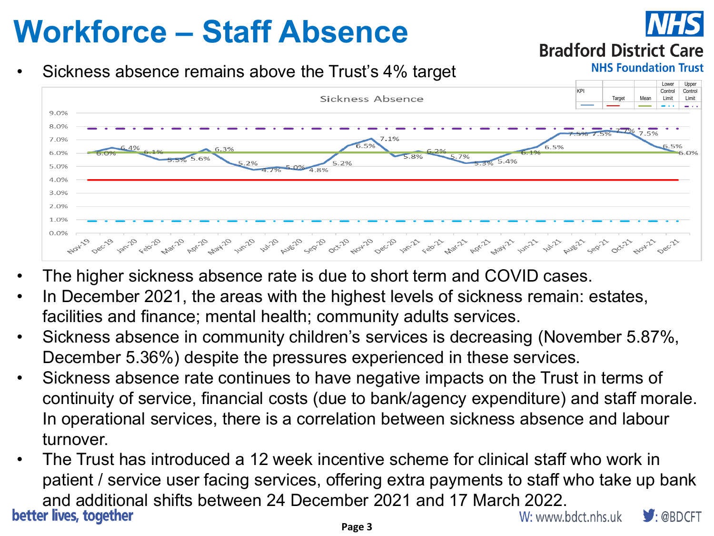# **Workforce – Staff Absence**

### Sickness absence remains above the Trust's 4% target



**Bradford District Care** 

**NHS Foundation Trust** 

- The higher sickness absence rate is due to short term and COVID cases.
- In December 2021, the areas with the highest levels of sickness remain: estates, facilities and finance; mental health; community adults services.
- Sickness absence in community children's services is decreasing (November 5.87%, December 5.36%) despite the pressures experienced in these services.
- Sickness absence rate continues to have negative impacts on the Trust in terms of continuity of service, financial costs (due to bank/agency expenditure) and staff morale. In operational services, there is a correlation between sickness absence and labour turnover.
- The Trust has introduced a 12 week incentive scheme for clinical staff who work in patient / service user facing services, offering extra payments to staff who take up bank and additional shifts between 24 December 2021 and 17 March 2022.<br>W: www.bdct.nhs.uk  $\blacksquare$ : @BDCFT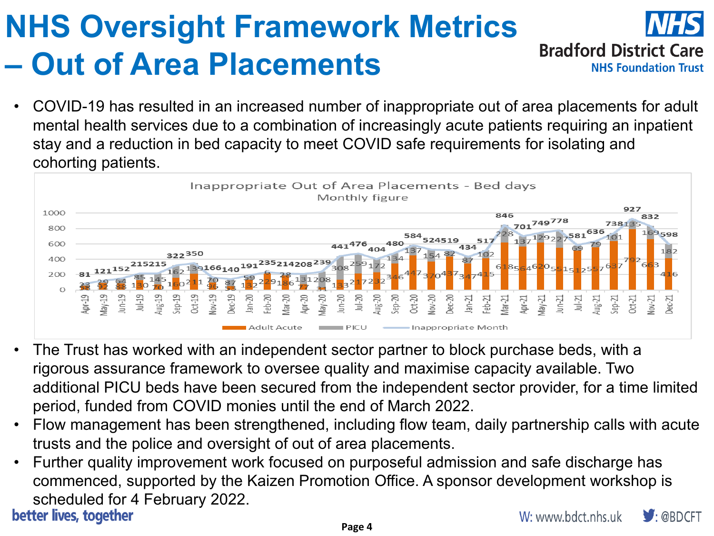### **NHS Oversight Framework Metrics Bradford District Care – Out of Area Placements NHS Foundation Trust**

• COVID-19 has resulted in an increased number of inappropriate out of area placements for adult mental health services due to a combination of increasingly acute patients requiring an inpatient stay and a reduction in bed capacity to meet COVID safe requirements for isolating and cohorting patients.



- The Trust has worked with an independent sector partner to block purchase beds, with a rigorous assurance framework to oversee quality and maximise capacity available. Two additional PICU beds have been secured from the independent sector provider, for a time limited period, funded from COVID monies until the end of March 2022.
- Flow management has been strengthened, including flow team, daily partnership calls with acute trusts and the police and oversight of out of area placements.
- Further quality improvement work focused on purposeful admission and safe discharge has commenced, supported by the Kaizen Promotion Office. A sponsor development workshop is scheduled for 4 February 2022.<br>better lives, together  $\blacktriangleright$ : @BDCFT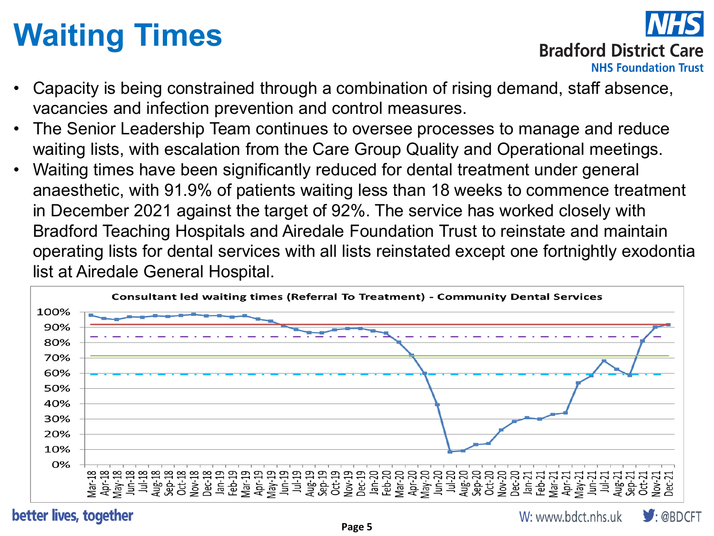# **Waiting Times**



### **Bradford District Care**

- Capacity is being constrained through a combination of rising demand, staff absence, vacancies and infection prevention and control measures.
- The Senior Leadership Team continues to oversee processes to manage and reduce waiting lists, with escalation from the Care Group Quality and Operational meetings.
- Waiting times have been significantly reduced for dental treatment under general anaesthetic, with 91.9% of patients waiting less than 18 weeks to commence treatment in December 2021 against the target of 92%. The service has worked closely with Bradford Teaching Hospitals and Airedale Foundation Trust to reinstate and maintain operating lists for dental services with all lists reinstated except one fortnightly exodontia list at Airedale General Hospital.



#### better lives, together